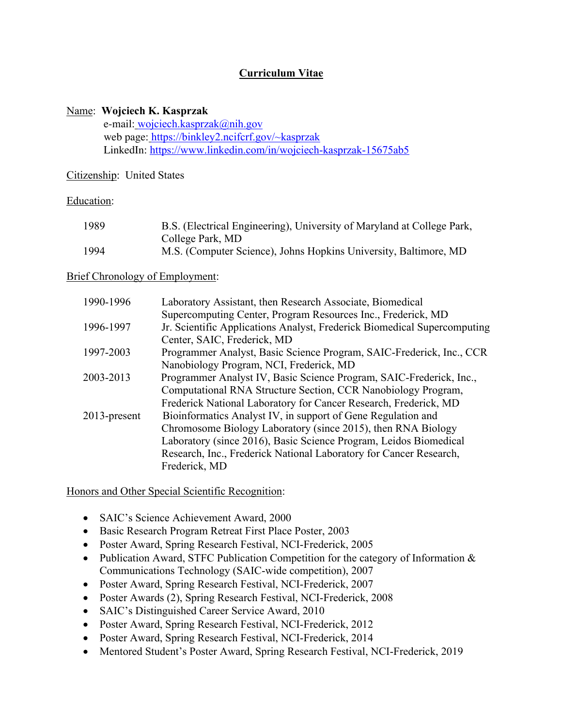## **Curriculum Vitae**

### Name: **Wojciech K. Kasprzak**

e-mail: wojciech.kasprzak@nih.gov web page: https://binkley2.ncifcrf.gov/~kasprzak LinkedIn: https://www.linkedin.com/in/wojciech-kasprzak-15675ab5

Citizenship: United States

#### Education:

| 1989 | B.S. (Electrical Engineering), University of Maryland at College Park, |
|------|------------------------------------------------------------------------|
|      | College Park, MD                                                       |
| 1994 | M.S. (Computer Science), Johns Hopkins University, Baltimore, MD       |

### Brief Chronology of Employment:

| 1990-1996       | Laboratory Assistant, then Research Associate, Biomedical                |
|-----------------|--------------------------------------------------------------------------|
|                 | Supercomputing Center, Program Resources Inc., Frederick, MD             |
| 1996-1997       | Jr. Scientific Applications Analyst, Frederick Biomedical Supercomputing |
|                 | Center, SAIC, Frederick, MD                                              |
| 1997-2003       | Programmer Analyst, Basic Science Program, SAIC-Frederick, Inc., CCR     |
|                 | Nanobiology Program, NCI, Frederick, MD                                  |
| 2003-2013       | Programmer Analyst IV, Basic Science Program, SAIC-Frederick, Inc.,      |
|                 | Computational RNA Structure Section, CCR Nanobiology Program,            |
|                 | Frederick National Laboratory for Cancer Research, Frederick, MD         |
| $2013$ -present | Bioinformatics Analyst IV, in support of Gene Regulation and             |
|                 | Chromosome Biology Laboratory (since 2015), then RNA Biology             |
|                 | Laboratory (since 2016), Basic Science Program, Leidos Biomedical        |
|                 | Research, Inc., Frederick National Laboratory for Cancer Research,       |
|                 | Frederick, MD                                                            |
|                 |                                                                          |

Honors and Other Special Scientific Recognition:

- SAIC's Science Achievement Award, 2000
- Basic Research Program Retreat First Place Poster, 2003
- Poster Award, Spring Research Festival, NCI-Frederick, 2005
- Publication Award, STFC Publication Competition for the category of Information & Communications Technology (SAIC-wide competition), 2007
- Poster Award, Spring Research Festival, NCI-Frederick, 2007
- Poster Awards (2), Spring Research Festival, NCI-Frederick, 2008
- SAIC's Distinguished Career Service Award, 2010
- Poster Award, Spring Research Festival, NCI-Frederick, 2012
- Poster Award, Spring Research Festival, NCI-Frederick, 2014
- Mentored Student's Poster Award, Spring Research Festival, NCI-Frederick, 2019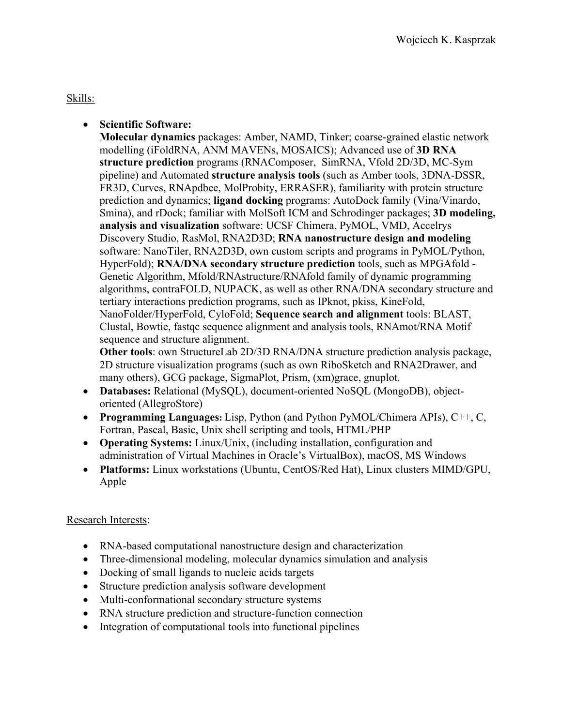Skills:

• **Scientific Software:**

**Molecular dynamics** packages: Amber, NAMD, Tinker; coarse-grained elastic network modelling (iFoldRNA, ANM MAVENs, MOSAICS); Advanced use of **3D RNA structure prediction** programs (RNAComposer, SimRNA, Vfold 2D/3D, MC-Sym pipeline) and Automated **structure analysis tools** (such as Amber tools, 3DNA-DSSR, FR3D, Curves, RNApdbee, MolProbity, ERRASER), familiarity with protein structure prediction and dynamics; **ligand docking** programs: AutoDock family (Vina/Vinardo, Smina), and rDock; familiar with MolSoft ICM and Schrodinger packages; **3D modeling, analysis and visualization** software: UCSF Chimera, PyMOL, VMD, Accelrys Discovery Studio, RasMol, RNA2D3D; **RNA nanostructure design and modeling** software: NanoTiler, RNA2D3D, own custom scripts and programs in PyMOL/Python, HyperFold); **RNA/DNA secondary structure prediction** tools, such as MPGAfold - Genetic Algorithm, Mfold/RNAstructure/RNAfold family of dynamic programming algorithms, contraFOLD, NUPACK, as well as other RNA/DNA secondary structure and tertiary interactions prediction programs, such as IPknot, pkiss, KineFold, NanoFolder/HyperFold, CyloFold; **Sequence search and alignment** tools: BLAST, Clustal, Bowtie, fastqc sequence alignment and analysis tools, RNAmot/RNA Motif sequence and structure alignment.

**Other tools**: own StructureLab 2D/3D RNA/DNA structure prediction analysis package, 2D structure visualization programs (such as own RiboSketch and RNA2Drawer, and many others), GCG package, SigmaPlot, Prism, (xm)grace, gnuplot.

- **Databases:** Relational (MySQL), document-oriented NoSQL (MongoDB), objectoriented (AllegroStore)
- **Programming Languages:** Lisp, Python (and Python PyMOL/Chimera APIs), C++, C, Fortran, Pascal, Basic, Unix shell scripting and tools, HTML/PHP
- **Operating Systems:** Linux/Unix, (including installation, configuration and administration of Virtual Machines in Oracle's VirtualBox), macOS, MS Windows
- **Platforms:** Linux workstations (Ubuntu, CentOS/Red Hat), Linux clusters MIMD/GPU, Apple

# Research Interests:

- RNA-based computational nanostructure design and characterization
- Three-dimensional modeling, molecular dynamics simulation and analysis
- Docking of small ligands to nucleic acids targets
- Structure prediction analysis software development
- Multi-conformational secondary structure systems
- RNA structure prediction and structure-function connection
- Integration of computational tools into functional pipelines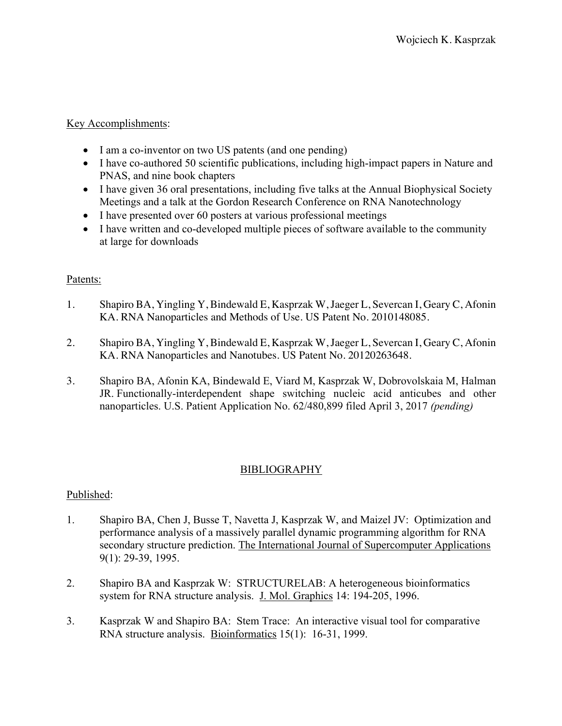## Key Accomplishments:

- I am a co-inventor on two US patents (and one pending)
- I have co-authored 50 scientific publications, including high-impact papers in Nature and PNAS, and nine book chapters
- I have given 36 oral presentations, including five talks at the Annual Biophysical Society Meetings and a talk at the Gordon Research Conference on RNA Nanotechnology
- I have presented over 60 posters at various professional meetings
- I have written and co-developed multiple pieces of software available to the community at large for downloads

## Patents:

- 1. Shapiro BA, Yingling Y, Bindewald E, Kasprzak W, Jaeger L, Severcan I, Geary C, Afonin KA. RNA Nanoparticles and Methods of Use. US Patent No. 2010148085.
- 2. Shapiro BA, Yingling Y, Bindewald E, Kasprzak W, Jaeger L, Severcan I, Geary C, Afonin KA. RNA Nanoparticles and Nanotubes. US Patent No. 20120263648.
- 3. Shapiro BA, Afonin KA, Bindewald E, Viard M, Kasprzak W, Dobrovolskaia M, Halman JR. Functionally-interdependent shape switching nucleic acid anticubes and other nanoparticles. U.S. Patient Application No. 62/480,899 filed April 3, 2017 *(pending)*

# BIBLIOGRAPHY

## Published:

- 1. Shapiro BA, Chen J, Busse T, Navetta J, Kasprzak W, and Maizel JV: Optimization and performance analysis of a massively parallel dynamic programming algorithm for RNA secondary structure prediction. The International Journal of Supercomputer Applications 9(1): 29-39, 1995.
- 2. Shapiro BA and Kasprzak W: STRUCTURELAB: A heterogeneous bioinformatics system for RNA structure analysis. J. Mol. Graphics 14: 194-205, 1996.
- 3. Kasprzak W and Shapiro BA: Stem Trace: An interactive visual tool for comparative RNA structure analysis. Bioinformatics 15(1): 16-31, 1999.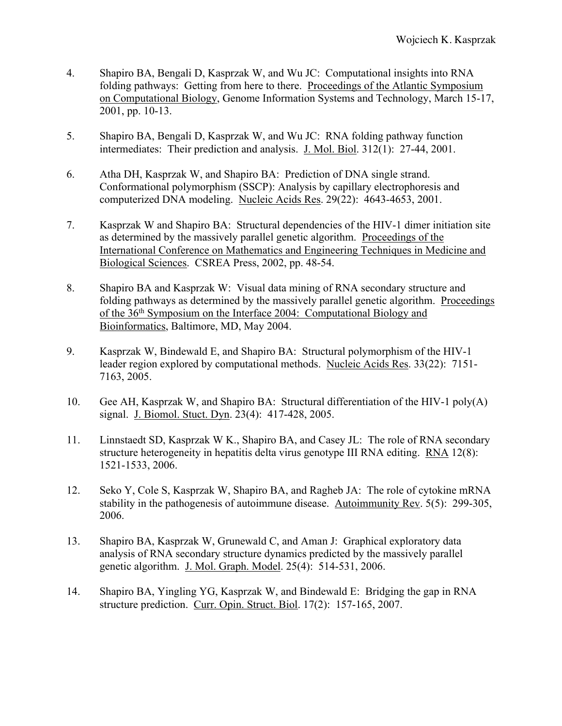- 4. Shapiro BA, Bengali D, Kasprzak W, and Wu JC: Computational insights into RNA folding pathways: Getting from here to there. Proceedings of the Atlantic Symposium on Computational Biology, Genome Information Systems and Technology, March 15-17, 2001, pp. 10-13.
- 5. Shapiro BA, Bengali D, Kasprzak W, and Wu JC: RNA folding pathway function intermediates: Their prediction and analysis. J. Mol. Biol. 312(1): 27-44, 2001.
- 6. Atha DH, Kasprzak W, and Shapiro BA: Prediction of DNA single strand. Conformational polymorphism (SSCP): Analysis by capillary electrophoresis and computerized DNA modeling. Nucleic Acids Res. 29(22): 4643-4653, 2001.
- 7. Kasprzak W and Shapiro BA: Structural dependencies of the HIV-1 dimer initiation site as determined by the massively parallel genetic algorithm. Proceedings of the International Conference on Mathematics and Engineering Techniques in Medicine and Biological Sciences. CSREA Press, 2002, pp. 48-54.
- 8. Shapiro BA and Kasprzak W: Visual data mining of RNA secondary structure and folding pathways as determined by the massively parallel genetic algorithm. Proceedings of the 36th Symposium on the Interface 2004: Computational Biology and Bioinformatics, Baltimore, MD, May 2004.
- 9. Kasprzak W, Bindewald E, and Shapiro BA: Structural polymorphism of the HIV-1 leader region explored by computational methods. Nucleic Acids Res. 33(22): 7151- 7163, 2005.
- 10. Gee AH, Kasprzak W, and Shapiro BA: Structural differentiation of the HIV-1 poly(A) signal. J. Biomol. Stuct. Dyn. 23(4): 417-428, 2005.
- 11. Linnstaedt SD, Kasprzak W K., Shapiro BA, and Casey JL: The role of RNA secondary structure heterogeneity in hepatitis delta virus genotype III RNA editing. RNA 12(8): 1521-1533, 2006.
- 12. Seko Y, Cole S, Kasprzak W, Shapiro BA, and Ragheb JA: The role of cytokine mRNA stability in the pathogenesis of autoimmune disease. Autoimmunity Rev. 5(5): 299-305, 2006.
- 13. Shapiro BA, Kasprzak W, Grunewald C, and Aman J: Graphical exploratory data analysis of RNA secondary structure dynamics predicted by the massively parallel genetic algorithm. J. Mol. Graph. Model. 25(4): 514-531, 2006.
- 14. Shapiro BA, Yingling YG, Kasprzak W, and Bindewald E: Bridging the gap in RNA structure prediction. Curr. Opin. Struct. Biol. 17(2): 157-165, 2007.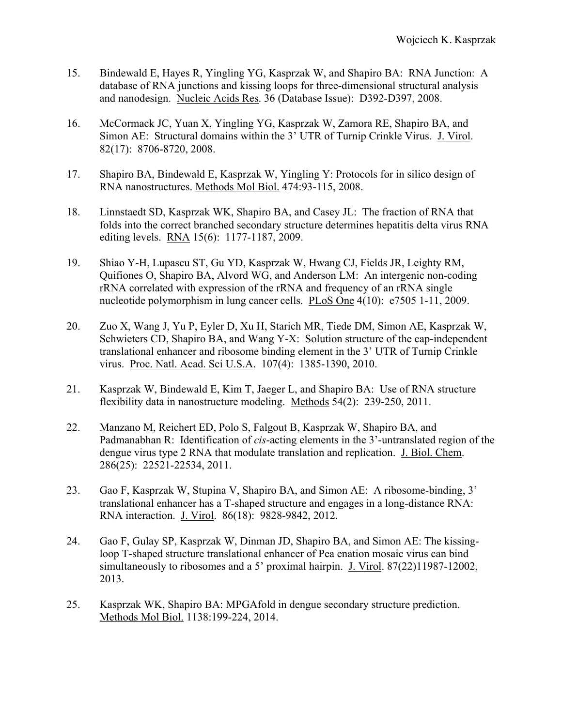- 15. Bindewald E, Hayes R, Yingling YG, Kasprzak W, and Shapiro BA: RNA Junction: A database of RNA junctions and kissing loops for three-dimensional structural analysis and nanodesign. Nucleic Acids Res. 36 (Database Issue): D392-D397, 2008.
- 16. McCormack JC, Yuan X, Yingling YG, Kasprzak W, Zamora RE, Shapiro BA, and Simon AE: Structural domains within the 3' UTR of Turnip Crinkle Virus. J. Virol. 82(17): 8706-8720, 2008.
- 17. Shapiro BA, Bindewald E, Kasprzak W, Yingling Y: Protocols for in silico design of RNA nanostructures. Methods Mol Biol. 474:93-115, 2008.
- 18. Linnstaedt SD, Kasprzak WK, Shapiro BA, and Casey JL: The fraction of RNA that folds into the correct branched secondary structure determines hepatitis delta virus RNA editing levels. RNA 15(6): 1177-1187, 2009.
- 19. Shiao Y-H, Lupascu ST, Gu YD, Kasprzak W, Hwang CJ, Fields JR, Leighty RM, Quifiones O, Shapiro BA, Alvord WG, and Anderson LM: An intergenic non-coding rRNA correlated with expression of the rRNA and frequency of an rRNA single nucleotide polymorphism in lung cancer cells. PLoS One 4(10): e7505 1-11, 2009.
- 20. Zuo X, Wang J, Yu P, Eyler D, Xu H, Starich MR, Tiede DM, Simon AE, Kasprzak W, Schwieters CD, Shapiro BA, and Wang Y-X: Solution structure of the cap-independent translational enhancer and ribosome binding element in the 3' UTR of Turnip Crinkle virus. Proc. Natl. Acad. Sci U.S.A. 107(4): 1385-1390, 2010.
- 21. Kasprzak W, Bindewald E, Kim T, Jaeger L, and Shapiro BA: Use of RNA structure flexibility data in nanostructure modeling. Methods 54(2): 239-250, 2011.
- 22. Manzano M, Reichert ED, Polo S, Falgout B, Kasprzak W, Shapiro BA, and Padmanabhan R: Identification of *cis*-acting elements in the 3'-untranslated region of the dengue virus type 2 RNA that modulate translation and replication. J. Biol. Chem. 286(25): 22521-22534, 2011.
- 23. Gao F, Kasprzak W, Stupina V, Shapiro BA, and Simon AE: A ribosome-binding, 3' translational enhancer has a T-shaped structure and engages in a long-distance RNA: RNA interaction. J. Virol. 86(18): 9828-9842, 2012.
- 24. Gao F, Gulay SP, Kasprzak W, Dinman JD, Shapiro BA, and Simon AE: The kissingloop T-shaped structure translational enhancer of Pea enation mosaic virus can bind simultaneously to ribosomes and a 5' proximal hairpin. J. Virol. 87(22)11987-12002, 2013.
- 25. Kasprzak WK, Shapiro BA: MPGAfold in dengue secondary structure prediction. Methods Mol Biol. 1138:199-224, 2014.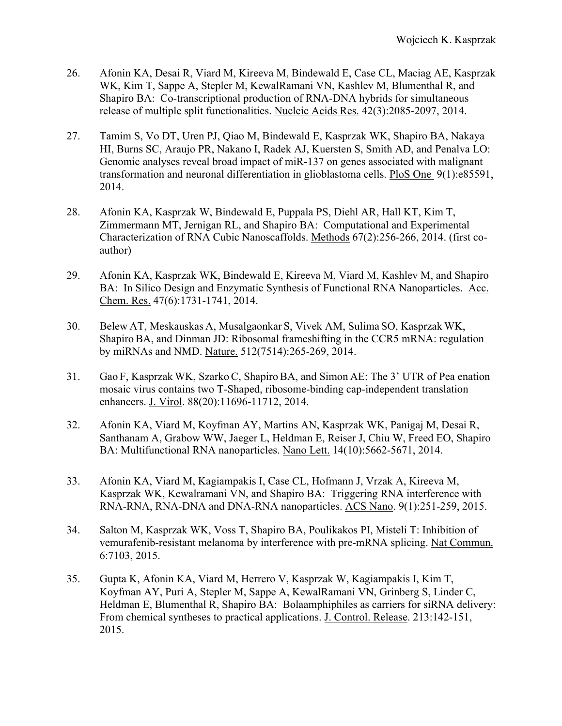- 26. Afonin KA, Desai R, Viard M, Kireeva M, Bindewald E, Case CL, Maciag AE, Kasprzak WK, Kim T, Sappe A, Stepler M, KewalRamani VN, Kashlev M, Blumenthal R, and Shapiro BA: Co-transcriptional production of RNA-DNA hybrids for simultaneous release of multiple split functionalities. Nucleic Acids Res. 42(3):2085-2097, 2014.
- 27. Tamim S, Vo DT, Uren PJ, Qiao M, Bindewald E, Kasprzak WK, Shapiro BA, Nakaya HI, Burns SC, Araujo PR, Nakano I, Radek AJ, Kuersten S, Smith AD, and Penalva LO: Genomic analyses reveal broad impact of miR-137 on genes associated with malignant transformation and neuronal differentiation in glioblastoma cells. PloS One 9(1):e85591, 2014.
- 28. Afonin KA, Kasprzak W, Bindewald E, Puppala PS, Diehl AR, Hall KT, Kim T, Zimmermann MT, Jernigan RL, and Shapiro BA: Computational and Experimental Characterization of RNA Cubic Nanoscaffolds. Methods 67(2):256-266, 2014. (first coauthor)
- 29. Afonin KA, Kasprzak WK, Bindewald E, Kireeva M, Viard M, Kashlev M, and Shapiro BA: In Silico Design and Enzymatic Synthesis of Functional RNA Nanoparticles. Acc. Chem. Res. 47(6):1731-1741, 2014.
- 30. Belew AT, Meskauskas A, Musalgaonkar S, Vivek AM, Sulima SO, Kasprzak WK, ShapiroBA, and Dinman JD: Ribosomal frameshifting in the CCR5 mRNA: regulation by miRNAs and NMD. Nature. 512(7514):265-269, 2014.
- 31. Gao F, Kasprzak WK, SzarkoC, ShapiroBA, and Simon AE: The 3' UTR of Pea enation mosaic virus contains two T-Shaped, ribosome-binding cap-independent translation enhancers. J. Virol. 88(20):11696-11712, 2014.
- 32. Afonin KA, Viard M, Koyfman AY, Martins AN, Kasprzak WK, Panigaj M, Desai R, Santhanam A, Grabow WW, Jaeger L, Heldman E, Reiser J, Chiu W, Freed EO, Shapiro BA: Multifunctional RNA nanoparticles. Nano Lett. 14(10):5662-5671, 2014.
- 33. Afonin KA, Viard M, Kagiampakis I, Case CL, Hofmann J, Vrzak A, Kireeva M, Kasprzak WK, Kewalramani VN, and Shapiro BA: Triggering RNA interference with RNA-RNA, RNA-DNA and DNA-RNA nanoparticles. ACS Nano. 9(1):251-259, 2015.
- 34. Salton M, Kasprzak WK, Voss T, Shapiro BA, Poulikakos PI, Misteli T: Inhibition of vemurafenib-resistant melanoma by interference with pre-mRNA splicing. Nat Commun. 6:7103, 2015.
- 35. Gupta K, Afonin KA, Viard M, Herrero V, Kasprzak W, Kagiampakis I, Kim T, Koyfman AY, Puri A, Stepler M, Sappe A, KewalRamani VN, Grinberg S, Linder C, Heldman E, Blumenthal R, Shapiro BA: Bolaamphiphiles as carriers for siRNA delivery: From chemical syntheses to practical applications. J. Control. Release. 213:142-151, 2015.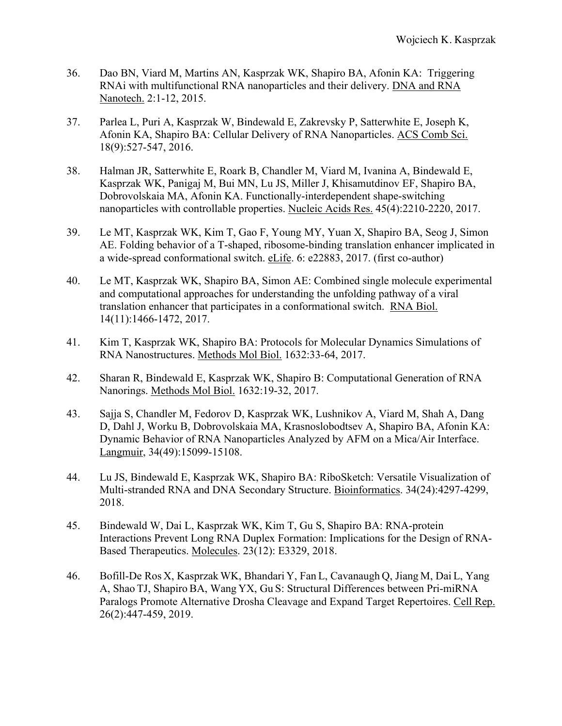- 36. Dao BN, Viard M, Martins AN, Kasprzak WK, Shapiro BA, Afonin KA: Triggering RNAi with multifunctional RNA nanoparticles and their delivery. DNA and RNA Nanotech. 2:1-12, 2015.
- 37. Parlea L, Puri A, Kasprzak W, Bindewald E, Zakrevsky P, Satterwhite E, Joseph K, Afonin KA, Shapiro BA: Cellular Delivery of RNA Nanoparticles. ACS Comb Sci. 18(9):527-547, 2016.
- 38. Halman JR, Satterwhite E, Roark B, Chandler M, Viard M, Ivanina A, Bindewald E, Kasprzak WK, Panigaj M, Bui MN, Lu JS, Miller J, Khisamutdinov EF, Shapiro BA, Dobrovolskaia MA, Afonin KA. Functionally-interdependent shape-switching nanoparticles with controllable properties. Nucleic Acids Res. 45(4):2210-2220, 2017.
- 39. Le MT, Kasprzak WK, Kim T, Gao F, Young MY, Yuan X, Shapiro BA, Seog J, Simon AE. Folding behavior of a T-shaped, ribosome-binding translation enhancer implicated in a wide-spread conformational switch. eLife. 6: e22883, 2017. (first co-author)
- 40. Le MT, Kasprzak WK, Shapiro BA, Simon AE: Combined single molecule experimental and computational approaches for understanding the unfolding pathway of a viral translation enhancer that participates in a conformational switch. RNA Biol. 14(11):1466-1472, 2017.
- 41. Kim T, Kasprzak WK, Shapiro BA: Protocols for Molecular Dynamics Simulations of RNA Nanostructures. Methods Mol Biol. 1632:33-64, 2017.
- 42. Sharan R, Bindewald E, Kasprzak WK, Shapiro B: Computational Generation of RNA Nanorings. Methods Mol Biol. 1632:19-32, 2017.
- 43. Sajja S, Chandler M, Fedorov D, Kasprzak WK, Lushnikov A, Viard M, Shah A, Dang D, Dahl J, Worku B, Dobrovolskaia MA, Krasnoslobodtsev A, Shapiro BA, Afonin KA: Dynamic Behavior of RNA Nanoparticles Analyzed by AFM on a Mica/Air Interface. Langmuir, 34(49):15099-15108.
- 44. Lu JS, Bindewald E, Kasprzak WK, Shapiro BA: RiboSketch: Versatile Visualization of Multi-stranded RNA and DNA Secondary Structure. Bioinformatics. 34(24):4297-4299, 2018.
- 45. Bindewald W, Dai L, Kasprzak WK, Kim T, Gu S, Shapiro BA: RNA-protein Interactions Prevent Long RNA Duplex Formation: Implications for the Design of RNA-Based Therapeutics. Molecules. 23(12): E3329, 2018.
- 46. Bofill-De Ros X, Kasprzak WK, Bhandari Y, Fan L, Cavanaugh Q, Jiang M, Dai L, Yang A, Shao TJ, ShapiroBA, Wang YX, Gu S: Structural Differences between Pri-miRNA Paralogs Promote Alternative Drosha Cleavage and Expand Target Repertoires. Cell Rep. 26(2):447-459, 2019.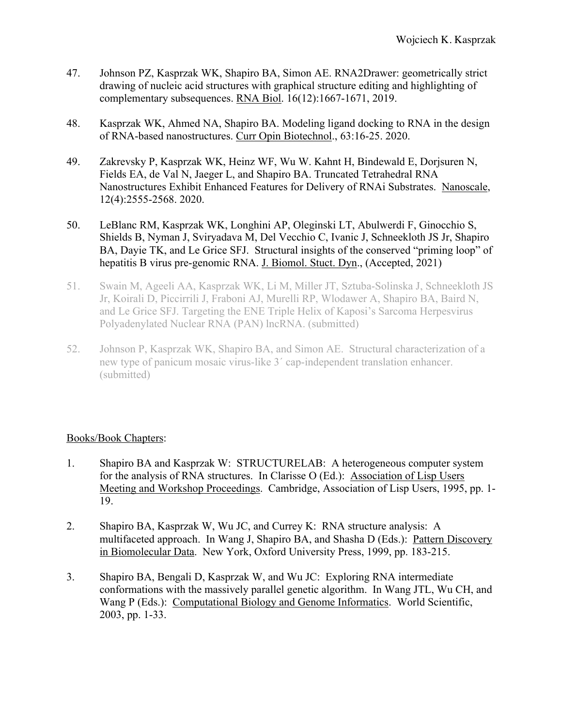- 47. Johnson PZ, Kasprzak WK, Shapiro BA, Simon AE. RNA2Drawer: geometrically strict drawing of nucleic acid structures with graphical structure editing and highlighting of complementary subsequences. RNA Biol. 16(12):1667-1671, 2019.
- 48. Kasprzak WK, Ahmed NA, Shapiro BA. Modeling ligand docking to RNA in the design of RNA-based nanostructures. Curr Opin Biotechnol., 63:16-25. 2020.
- 49. Zakrevsky P, Kasprzak WK, Heinz WF, Wu W. Kahnt H, Bindewald E, Dorjsuren N, Fields EA, de Val N, Jaeger L, and Shapiro BA. Truncated Tetrahedral RNA Nanostructures Exhibit Enhanced Features for Delivery of RNAi Substrates. Nanoscale, 12(4):2555-2568. 2020.
- 50. LeBlanc RM, Kasprzak WK, Longhini AP, Oleginski LT, Abulwerdi F, Ginocchio S, Shields B, Nyman J, Sviryadava M, Del Vecchio C, Ivanic J, Schneekloth JS Jr, Shapiro BA, Dayie TK, and Le Grice SFJ. Structural insights of the conserved "priming loop" of hepatitis B virus pre-genomic RNA. J. Biomol. Stuct. Dyn., (Accepted, 2021)
- 51. Swain M, Ageeli AA, Kasprzak WK, Li M, Miller JT, Sztuba-Solinska J, Schneekloth JS Jr, Koirali D, Piccirrili J, Fraboni AJ, Murelli RP, Wlodawer A, Shapiro BA, Baird N, and Le Grice SFJ. Targeting the ENE Triple Helix of Kaposi's Sarcoma Herpesvirus Polyadenylated Nuclear RNA (PAN) lncRNA. (submitted)
- 52. Johnson P, Kasprzak WK, Shapiro BA, and Simon AE. Structural characterization of a new type of panicum mosaic virus-like 3´ cap-independent translation enhancer. (submitted)

## Books/Book Chapters:

- 1. Shapiro BA and Kasprzak W: STRUCTURELAB: A heterogeneous computer system for the analysis of RNA structures. In Clarisse O (Ed.): Association of Lisp Users Meeting and Workshop Proceedings. Cambridge, Association of Lisp Users, 1995, pp. 1- 19.
- 2. Shapiro BA, Kasprzak W, Wu JC, and Currey K: RNA structure analysis: A multifaceted approach. In Wang J, Shapiro BA, and Shasha D (Eds.): Pattern Discovery in Biomolecular Data. New York, Oxford University Press, 1999, pp. 183-215.
- 3. Shapiro BA, Bengali D, Kasprzak W, and Wu JC: Exploring RNA intermediate conformations with the massively parallel genetic algorithm. In Wang JTL, Wu CH, and Wang P (Eds.): Computational Biology and Genome Informatics. World Scientific, 2003, pp. 1-33.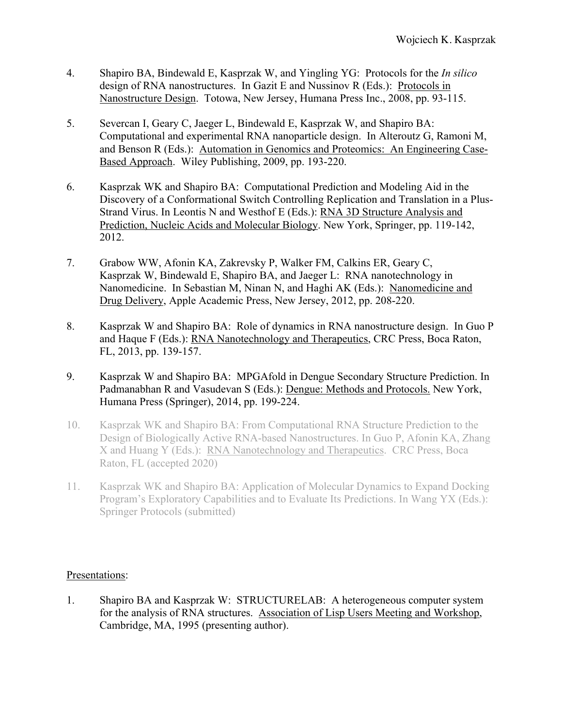- 4. Shapiro BA, Bindewald E, Kasprzak W, and Yingling YG: Protocols for the *In silico* design of RNA nanostructures. In Gazit E and Nussinov R (Eds.): Protocols in Nanostructure Design. Totowa, New Jersey, Humana Press Inc., 2008, pp. 93-115.
- 5. Severcan I, Geary C, Jaeger L, Bindewald E, Kasprzak W, and Shapiro BA: Computational and experimental RNA nanoparticle design. In Alteroutz G, Ramoni M, and Benson R (Eds.): Automation in Genomics and Proteomics: An Engineering Case-Based Approach. Wiley Publishing, 2009, pp. 193-220.
- 6. Kasprzak WK and Shapiro BA: Computational Prediction and Modeling Aid in the Discovery of a Conformational Switch Controlling Replication and Translation in a Plus-Strand Virus. In Leontis N and Westhof E (Eds.): RNA 3D Structure Analysis and Prediction, Nucleic Acids and Molecular Biology. New York, Springer, pp. 119-142, 2012.
- 7. Grabow WW, Afonin KA, Zakrevsky P, Walker FM, Calkins ER, Geary C, Kasprzak W, Bindewald E, Shapiro BA, and Jaeger L: RNA nanotechnology in Nanomedicine. In Sebastian M, Ninan N, and Haghi AK (Eds.): Nanomedicine and Drug Delivery, Apple Academic Press, New Jersey, 2012, pp. 208-220.
- 8. Kasprzak W and Shapiro BA: Role of dynamics in RNA nanostructure design. In Guo P and Haque F (Eds.): RNA Nanotechnology and Therapeutics, CRC Press, Boca Raton, FL, 2013, pp. 139-157.
- 9. Kasprzak W and Shapiro BA: MPGAfold in Dengue Secondary Structure Prediction. In Padmanabhan R and Vasudevan S (Eds.): Dengue: Methods and Protocols. New York, Humana Press (Springer), 2014, pp. 199-224.
- 10. Kasprzak WK and Shapiro BA: From Computational RNA Structure Prediction to the Design of Biologically Active RNA-based Nanostructures. In Guo P, Afonin KA, Zhang X and Huang Y (Eds.): RNA Nanotechnology and Therapeutics. CRC Press, Boca Raton, FL (accepted 2020)
- 11. Kasprzak WK and Shapiro BA: Application of Molecular Dynamics to Expand Docking Program's Exploratory Capabilities and to Evaluate Its Predictions. In Wang YX (Eds.): Springer Protocols (submitted)

## Presentations:

1. Shapiro BA and Kasprzak W: STRUCTURELAB: A heterogeneous computer system for the analysis of RNA structures. Association of Lisp Users Meeting and Workshop, Cambridge, MA, 1995 (presenting author).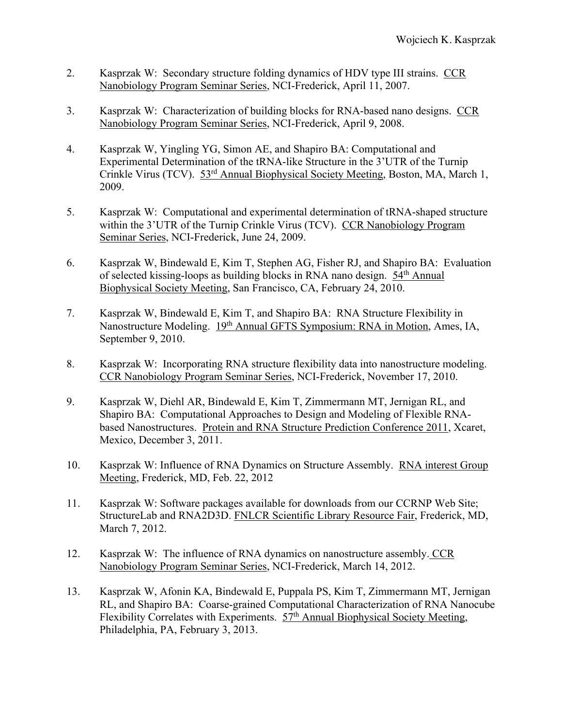- 2. Kasprzak W: Secondary structure folding dynamics of HDV type III strains. CCR Nanobiology Program Seminar Series, NCI-Frederick, April 11, 2007.
- 3. Kasprzak W: Characterization of building blocks for RNA-based nano designs. CCR Nanobiology Program Seminar Series, NCI-Frederick, April 9, 2008.
- 4. Kasprzak W, Yingling YG, Simon AE, and Shapiro BA: Computational and Experimental Determination of the tRNA-like Structure in the 3'UTR of the Turnip Crinkle Virus (TCV). 53rd Annual Biophysical Society Meeting, Boston, MA, March 1, 2009.
- 5. Kasprzak W: Computational and experimental determination of tRNA-shaped structure within the 3'UTR of the Turnip Crinkle Virus (TCV). CCR Nanobiology Program Seminar Series, NCI-Frederick, June 24, 2009.
- 6. Kasprzak W, Bindewald E, Kim T, Stephen AG, Fisher RJ, and Shapiro BA: Evaluation of selected kissing-loops as building blocks in RNA nano design.  $54<sup>th</sup>$  Annual Biophysical Society Meeting, San Francisco, CA, February 24, 2010.
- 7. Kasprzak W, Bindewald E, Kim T, and Shapiro BA: RNA Structure Flexibility in Nanostructure Modeling. 19<sup>th</sup> Annual GFTS Symposium: RNA in Motion, Ames, IA, September 9, 2010.
- 8. Kasprzak W: Incorporating RNA structure flexibility data into nanostructure modeling. CCR Nanobiology Program Seminar Series, NCI-Frederick, November 17, 2010.
- 9. Kasprzak W, Diehl AR, Bindewald E, Kim T, Zimmermann MT, Jernigan RL, and Shapiro BA: Computational Approaches to Design and Modeling of Flexible RNAbased Nanostructures. Protein and RNA Structure Prediction Conference 2011, Xcaret, Mexico, December 3, 2011.
- 10. Kasprzak W: Influence of RNA Dynamics on Structure Assembly. RNA interest Group Meeting, Frederick, MD, Feb. 22, 2012
- 11. Kasprzak W: Software packages available for downloads from our CCRNP Web Site; StructureLab and RNA2D3D. FNLCR Scientific Library Resource Fair, Frederick, MD, March 7, 2012.
- 12. Kasprzak W: The influence of RNA dynamics on nanostructure assembly. CCR Nanobiology Program Seminar Series, NCI-Frederick, March 14, 2012.
- 13. Kasprzak W, Afonin KA, Bindewald E, Puppala PS, Kim T, Zimmermann MT, Jernigan RL, and Shapiro BA: Coarse-grained Computational Characterization of RNA Nanocube Flexibility Correlates with Experiments.  $57<sup>th</sup>$  Annual Biophysical Society Meeting, Philadelphia, PA, February 3, 2013.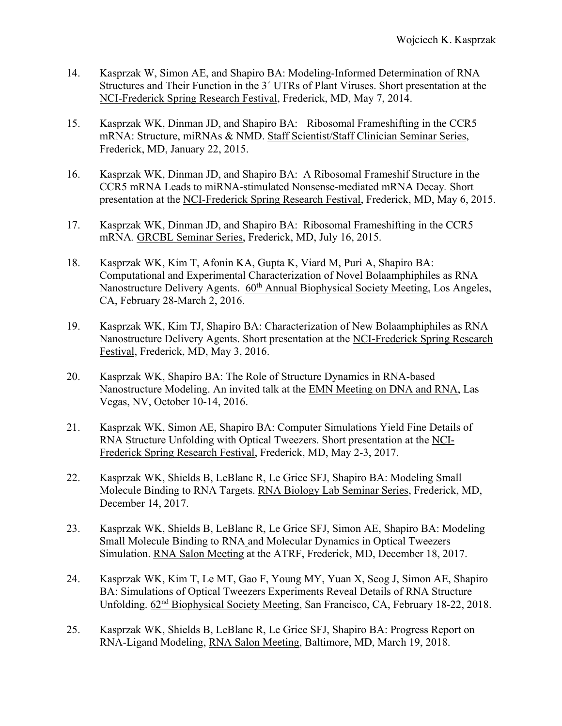- 14. Kasprzak W, Simon AE, and Shapiro BA: Modeling-Informed Determination of RNA Structures and Their Function in the 3´ UTRs of Plant Viruses. Short presentation at the NCI-Frederick Spring Research Festival, Frederick, MD, May 7, 2014.
- 15. Kasprzak WK, Dinman JD, and Shapiro BA: Ribosomal Frameshifting in the CCR5 mRNA: Structure, miRNAs & NMD. Staff Scientist/Staff Clinician Seminar Series, Frederick, MD, January 22, 2015.
- 16. Kasprzak WK, Dinman JD, and Shapiro BA: A Ribosomal Frameshif Structure in the CCR5 mRNA Leads to miRNA-stimulated Nonsense-mediated mRNA Decay*.* Short presentation at the NCI-Frederick Spring Research Festival, Frederick, MD, May 6, 2015.
- 17. Kasprzak WK, Dinman JD, and Shapiro BA: Ribosomal Frameshifting in the CCR5 mRNA*.* GRCBL Seminar Series, Frederick, MD, July 16, 2015.
- 18. Kasprzak WK, Kim T, Afonin KA, Gupta K, Viard M, Puri A, Shapiro BA: Computational and Experimental Characterization of Novel Bolaamphiphiles as RNA Nanostructure Delivery Agents. 60<sup>th</sup> Annual Biophysical Society Meeting, Los Angeles, CA, February 28-March 2, 2016.
- 19. Kasprzak WK, Kim TJ, Shapiro BA: Characterization of New Bolaamphiphiles as RNA Nanostructure Delivery Agents. Short presentation at the NCI-Frederick Spring Research Festival, Frederick, MD, May 3, 2016.
- 20. Kasprzak WK, Shapiro BA: The Role of Structure Dynamics in RNA-based Nanostructure Modeling. An invited talk at the EMN Meeting on DNA and RNA, Las Vegas, NV, October 10-14, 2016.
- 21. Kasprzak WK, Simon AE, Shapiro BA: Computer Simulations Yield Fine Details of RNA Structure Unfolding with Optical Tweezers. Short presentation at the NCI-Frederick Spring Research Festival, Frederick, MD, May 2-3, 2017.
- 22. Kasprzak WK, Shields B, LeBlanc R, Le Grice SFJ, Shapiro BA: Modeling Small Molecule Binding to RNA Targets. RNA Biology Lab Seminar Series, Frederick, MD, December 14, 2017.
- 23. Kasprzak WK, Shields B, LeBlanc R, Le Grice SFJ, Simon AE, Shapiro BA: Modeling Small Molecule Binding to RNA and Molecular Dynamics in Optical Tweezers Simulation. RNA Salon Meeting at the ATRF, Frederick, MD, December 18, 2017.
- 24. Kasprzak WK, Kim T, Le MT, Gao F, Young MY, Yuan X, Seog J, Simon AE, Shapiro BA: Simulations of Optical Tweezers Experiments Reveal Details of RNA Structure Unfolding. 62nd Biophysical Society Meeting, San Francisco, CA, February 18-22, 2018.
- 25. Kasprzak WK, Shields B, LeBlanc R, Le Grice SFJ, Shapiro BA: Progress Report on RNA-Ligand Modeling, RNA Salon Meeting, Baltimore, MD, March 19, 2018.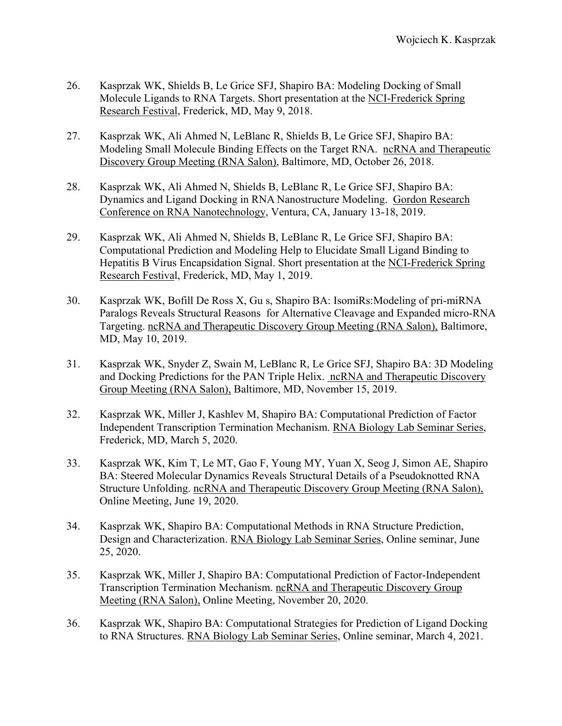- 26. Kasprzak WK, Shields B, Le Grice SFJ, Shapiro BA: Modeling Docking of Small Molecule Ligands to RNA Targets. Short presentation at the NCI-Frederick Spring Research Festival, Frederick, MD, May 9, 2018.
- 27. Kasprzak WK, Ali Ahmed N, LeBlanc R, Shields B, Le Grice SFJ, Shapiro BA: Modeling Small Molecule Binding Effects on the Target RNA. ncRNA and Therapeutic Discovery Group Meeting (RNA Salon), Baltimore, MD, October 26, 2018.
- 28. Kasprzak WK, Ali Ahmed N, Shields B, LeBlanc R, Le Grice SFJ, Shapiro BA: Dynamics and Ligand Docking in RNA Nanostructure Modeling. Gordon Research Conference on RNA Nanotechnology, Ventura, CA, January 13-18, 2019.
- 29. Kasprzak WK, Ali Ahmed N, Shields B, LeBlanc R, Le Grice SFJ, Shapiro BA: Computational Prediction and Modeling Help to Elucidate Small Ligand Binding to Hepatitis B Virus Encapsidation Signal. Short presentation at the NCI-Frederick Spring Research Festival, Frederick, MD, May 1, 2019.
- 30. Kasprzak WK, Bofill De Ross X, Gu s, Shapiro BA: IsomiRs:Modeling of pri-miRNA Paralogs Reveals Structural Reasons for Alternative Cleavage and Expanded micro-RNA Targeting. ncRNA and Therapeutic Discovery Group Meeting (RNA Salon), Baltimore, MD, May 10, 2019.
- 31. Kasprzak WK, Snyder Z, Swain M, LeBlanc R, Le Grice SFJ, Shapiro BA: 3D Modeling and Docking Predictions for the PAN Triple Helix. ncRNA and Therapeutic Discovery Group Meeting (RNA Salon), Baltimore, MD, November 15, 2019.
- 32. Kasprzak WK, Miller J, Kashlev M, Shapiro BA: Computational Prediction of Factor Independent Transcription Termination Mechanism. RNA Biology Lab Seminar Series, Frederick, MD, March 5, 2020.
- 33. Kasprzak WK, Kim T, Le MT, Gao F, Young MY, Yuan X, Seog J, Simon AE, Shapiro BA: Steered Molecular Dynamics Reveals Structural Details of a Pseudoknotted RNA Structure Unfolding. ncRNA and Therapeutic Discovery Group Meeting (RNA Salon), Online Meeting, June 19, 2020.
- 34. Kasprzak WK, Shapiro BA: Computational Methods in RNA Structure Prediction, Design and Characterization. RNA Biology Lab Seminar Series, Online seminar, June 25, 2020.
- 35. Kasprzak WK, Miller J, Shapiro BA: Computational Prediction of Factor-Independent Transcription Termination Mechanism. ncRNA and Therapeutic Discovery Group Meeting (RNA Salon), Online Meeting, November 20, 2020.
- 36. Kasprzak WK, Shapiro BA: Computational Strategies for Prediction of Ligand Docking to RNA Structures. RNA Biology Lab Seminar Series, Online seminar, March 4, 2021.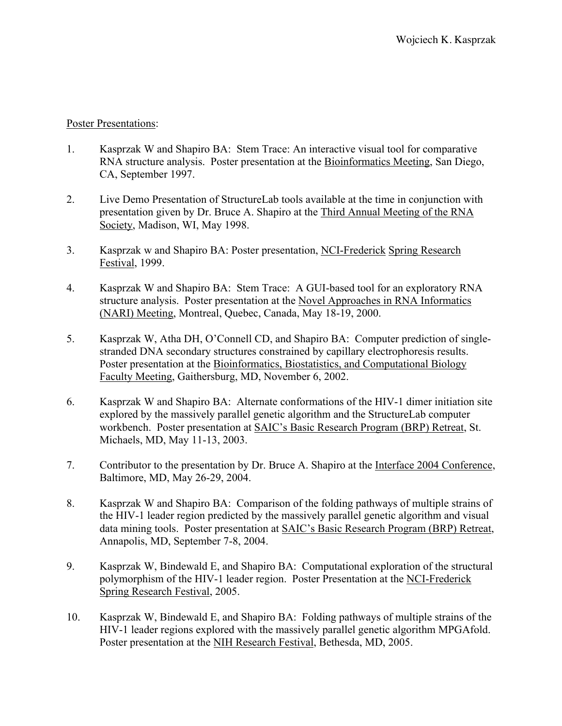### Poster Presentations:

- 1. Kasprzak W and Shapiro BA: Stem Trace: An interactive visual tool for comparative RNA structure analysis. Poster presentation at the Bioinformatics Meeting, San Diego, CA, September 1997.
- 2. Live Demo Presentation of StructureLab tools available at the time in conjunction with presentation given by Dr. Bruce A. Shapiro at the Third Annual Meeting of the RNA Society, Madison, WI, May 1998.
- 3. Kasprzak w and Shapiro BA: Poster presentation, NCI-Frederick Spring Research Festival, 1999.
- 4. Kasprzak W and Shapiro BA: Stem Trace: A GUI-based tool for an exploratory RNA structure analysis. Poster presentation at the Novel Approaches in RNA Informatics (NARI) Meeting, Montreal, Quebec, Canada, May 18-19, 2000.
- 5. Kasprzak W, Atha DH, O'Connell CD, and Shapiro BA: Computer prediction of singlestranded DNA secondary structures constrained by capillary electrophoresis results. Poster presentation at the Bioinformatics, Biostatistics, and Computational Biology Faculty Meeting, Gaithersburg, MD, November 6, 2002.
- 6. Kasprzak W and Shapiro BA: Alternate conformations of the HIV-1 dimer initiation site explored by the massively parallel genetic algorithm and the StructureLab computer workbench. Poster presentation at SAIC's Basic Research Program (BRP) Retreat, St. Michaels, MD, May 11-13, 2003.
- 7. Contributor to the presentation by Dr. Bruce A. Shapiro at the Interface 2004 Conference, Baltimore, MD, May 26-29, 2004.
- 8. Kasprzak W and Shapiro BA: Comparison of the folding pathways of multiple strains of the HIV-1 leader region predicted by the massively parallel genetic algorithm and visual data mining tools. Poster presentation at SAIC's Basic Research Program (BRP) Retreat, Annapolis, MD, September 7-8, 2004.
- 9. Kasprzak W, Bindewald E, and Shapiro BA: Computational exploration of the structural polymorphism of the HIV-1 leader region. Poster Presentation at the NCI-Frederick Spring Research Festival, 2005.
- 10. Kasprzak W, Bindewald E, and Shapiro BA: Folding pathways of multiple strains of the HIV-1 leader regions explored with the massively parallel genetic algorithm MPGAfold. Poster presentation at the NIH Research Festival, Bethesda, MD, 2005.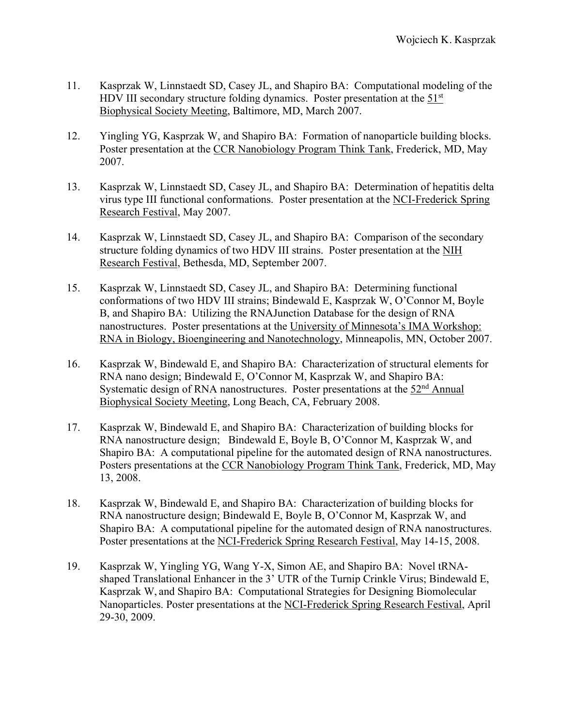- 11. Kasprzak W, Linnstaedt SD, Casey JL, and Shapiro BA: Computational modeling of the HDV III secondary structure folding dynamics. Poster presentation at the 51<sup>st</sup> Biophysical Society Meeting, Baltimore, MD, March 2007.
- 12. Yingling YG, Kasprzak W, and Shapiro BA: Formation of nanoparticle building blocks. Poster presentation at the CCR Nanobiology Program Think Tank, Frederick, MD, May 2007.
- 13. Kasprzak W, Linnstaedt SD, Casey JL, and Shapiro BA: Determination of hepatitis delta virus type III functional conformations. Poster presentation at the NCI-Frederick Spring Research Festival, May 2007.
- 14. Kasprzak W, Linnstaedt SD, Casey JL, and Shapiro BA: Comparison of the secondary structure folding dynamics of two HDV III strains. Poster presentation at the NIH Research Festival, Bethesda, MD, September 2007.
- 15. Kasprzak W, Linnstaedt SD, Casey JL, and Shapiro BA: Determining functional conformations of two HDV III strains; Bindewald E, Kasprzak W, O'Connor M, Boyle B, and Shapiro BA: Utilizing the RNAJunction Database for the design of RNA nanostructures. Poster presentations at the University of Minnesota's IMA Workshop: RNA in Biology, Bioengineering and Nanotechnology, Minneapolis, MN, October 2007.
- 16. Kasprzak W, Bindewald E, and Shapiro BA: Characterization of structural elements for RNA nano design; Bindewald E, O'Connor M, Kasprzak W, and Shapiro BA: Systematic design of RNA nanostructures. Poster presentations at the  $52<sup>nd</sup>$  Annual Biophysical Society Meeting, Long Beach, CA, February 2008.
- 17. Kasprzak W, Bindewald E, and Shapiro BA: Characterization of building blocks for RNA nanostructure design; Bindewald E, Boyle B, O'Connor M, Kasprzak W, and Shapiro BA: A computational pipeline for the automated design of RNA nanostructures. Posters presentations at the CCR Nanobiology Program Think Tank, Frederick, MD, May 13, 2008.
- 18. Kasprzak W, Bindewald E, and Shapiro BA: Characterization of building blocks for RNA nanostructure design; Bindewald E, Boyle B, O'Connor M, Kasprzak W, and Shapiro BA: A computational pipeline for the automated design of RNA nanostructures. Poster presentations at the NCI-Frederick Spring Research Festival, May 14-15, 2008.
- 19. Kasprzak W, Yingling YG, Wang Y-X, Simon AE, and Shapiro BA: Novel tRNAshaped Translational Enhancer in the 3' UTR of the Turnip Crinkle Virus; Bindewald E, Kasprzak W, and Shapiro BA: Computational Strategies for Designing Biomolecular Nanoparticles. Poster presentations at the NCI-Frederick Spring Research Festival, April 29-30, 2009.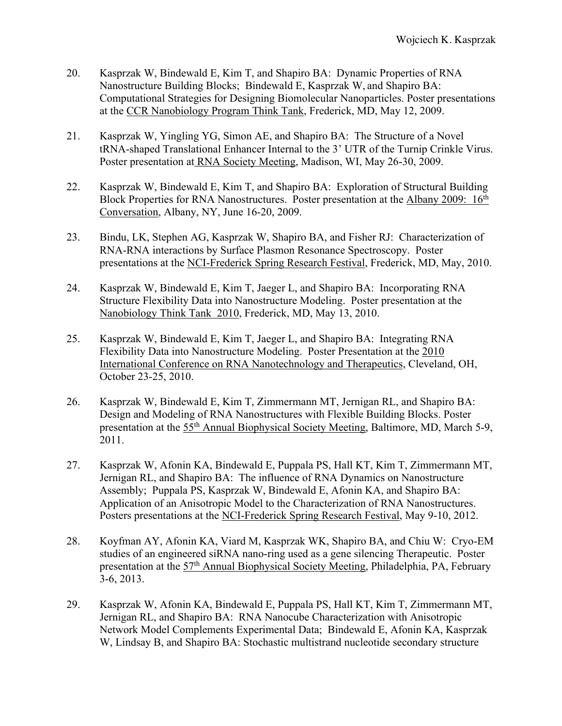- 20. Kasprzak W, Bindewald E, Kim T, and Shapiro BA: Dynamic Properties of RNA Nanostructure Building Blocks; Bindewald E, Kasprzak W, and Shapiro BA: Computational Strategies for Designing Biomolecular Nanoparticles. Poster presentations at the CCR Nanobiology Program Think Tank, Frederick, MD, May 12, 2009.
- 21. Kasprzak W, Yingling YG, Simon AE, and Shapiro BA: The Structure of a Novel tRNA-shaped Translational Enhancer Internal to the 3' UTR of the Turnip Crinkle Virus. Poster presentation at RNA Society Meeting, Madison, WI, May 26-30, 2009.
- 22. Kasprzak W, Bindewald E, Kim T, and Shapiro BA: Exploration of Structural Building Block Properties for RNA Nanostructures. Poster presentation at the Albany 2009: 16<sup>th</sup> Conversation, Albany, NY, June 16-20, 2009.
- 23. Bindu, LK, Stephen AG, Kasprzak W, Shapiro BA, and Fisher RJ: Characterization of RNA-RNA interactions by Surface Plasmon Resonance Spectroscopy. Poster presentations at the NCI-Frederick Spring Research Festival, Frederick, MD, May, 2010.
- 24. Kasprzak W, Bindewald E, Kim T, Jaeger L, and Shapiro BA: Incorporating RNA Structure Flexibility Data into Nanostructure Modeling. Poster presentation at the Nanobiology Think Tank 2010, Frederick, MD, May 13, 2010.
- 25. Kasprzak W, Bindewald E, Kim T, Jaeger L, and Shapiro BA: Integrating RNA Flexibility Data into Nanostructure Modeling. Poster Presentation at the 2010 International Conference on RNA Nanotechnology and Therapeutics, Cleveland, OH, October 23-25, 2010.
- 26. Kasprzak W, Bindewald E, Kim T, Zimmermann MT, Jernigan RL, and Shapiro BA: Design and Modeling of RNA Nanostructures with Flexible Building Blocks. Poster presentation at the 55th Annual Biophysical Society Meeting, Baltimore, MD, March 5-9, 2011.
- 27. Kasprzak W, Afonin KA, Bindewald E, Puppala PS, Hall KT, Kim T, Zimmermann MT, Jernigan RL, and Shapiro BA: The influence of RNA Dynamics on Nanostructure Assembly; Puppala PS, Kasprzak W, Bindewald E, Afonin KA, and Shapiro BA: Application of an Anisotropic Model to the Characterization of RNA Nanostructures. Posters presentations at the NCI-Frederick Spring Research Festival, May 9-10, 2012.
- 28. Koyfman AY, Afonin KA, Viard M, Kasprzak WK, Shapiro BA, and Chiu W: Cryo-EM studies of an engineered siRNA nano-ring used as a gene silencing Therapeutic. Poster presentation at the 57th Annual Biophysical Society Meeting, Philadelphia, PA, February 3-6, 2013.
- 29. Kasprzak W, Afonin KA, Bindewald E, Puppala PS, Hall KT, Kim T, Zimmermann MT, Jernigan RL, and Shapiro BA: RNA Nanocube Characterization with Anisotropic Network Model Complements Experimental Data; Bindewald E, Afonin KA, Kasprzak W, Lindsay B, and Shapiro BA: Stochastic multistrand nucleotide secondary structure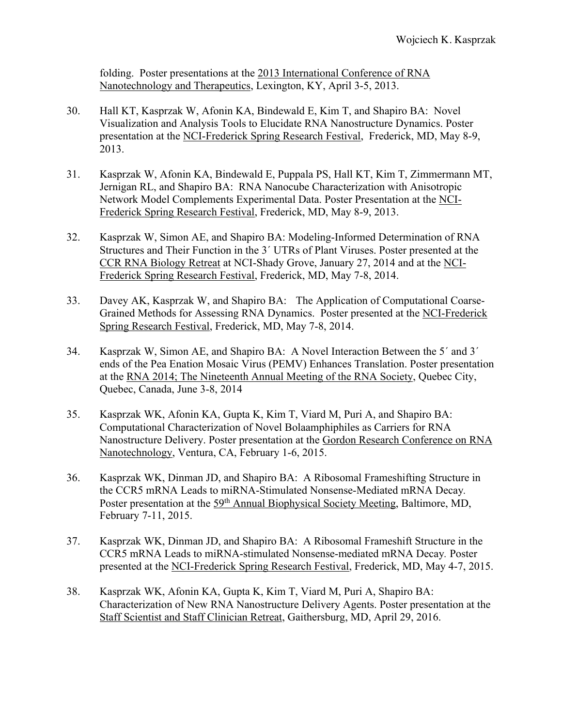folding. Poster presentations at the 2013 International Conference of RNA Nanotechnology and Therapeutics, Lexington, KY, April 3-5, 2013.

- 30. Hall KT, Kasprzak W, Afonin KA, Bindewald E, Kim T, and Shapiro BA: Novel Visualization and Analysis Tools to Elucidate RNA Nanostructure Dynamics. Poster presentation at the NCI-Frederick Spring Research Festival, Frederick, MD, May 8-9, 2013.
- 31. Kasprzak W, Afonin KA, Bindewald E, Puppala PS, Hall KT, Kim T, Zimmermann MT, Jernigan RL, and Shapiro BA: RNA Nanocube Characterization with Anisotropic Network Model Complements Experimental Data. Poster Presentation at the NCI-Frederick Spring Research Festival, Frederick, MD, May 8-9, 2013.
- 32. Kasprzak W, Simon AE, and Shapiro BA: Modeling-Informed Determination of RNA Structures and Their Function in the 3´ UTRs of Plant Viruses. Poster presented at the CCR RNA Biology Retreat at NCI-Shady Grove, January 27, 2014 and at the NCI-Frederick Spring Research Festival, Frederick, MD, May 7-8, 2014.
- 33. Davey AK, Kasprzak W, and Shapiro BA: The Application of Computational Coarse-Grained Methods for Assessing RNA Dynamics. Poster presented at the NCI-Frederick Spring Research Festival, Frederick, MD, May 7-8, 2014.
- 34. Kasprzak W, Simon AE, and Shapiro BA: A Novel Interaction Between the 5´ and 3´ ends of the Pea Enation Mosaic Virus (PEMV) Enhances Translation. Poster presentation at the RNA 2014; The Nineteenth Annual Meeting of the RNA Society, Quebec City, Quebec, Canada, June 3-8, 2014
- 35. Kasprzak WK, Afonin KA, Gupta K, Kim T, Viard M, Puri A, and Shapiro BA: Computational Characterization of Novel Bolaamphiphiles as Carriers for RNA Nanostructure Delivery. Poster presentation at the Gordon Research Conference on RNA Nanotechnology, Ventura, CA, February 1-6, 2015.
- 36. Kasprzak WK, Dinman JD, and Shapiro BA: A Ribosomal Frameshifting Structure in the CCR5 mRNA Leads to miRNA-Stimulated Nonsense-Mediated mRNA Decay*.*  Poster presentation at the 59<sup>th</sup> Annual Biophysical Society Meeting, Baltimore, MD, February 7-11, 2015.
- 37. Kasprzak WK, Dinman JD, and Shapiro BA: A Ribosomal Frameshift Structure in the CCR5 mRNA Leads to miRNA-stimulated Nonsense-mediated mRNA Decay*.* Poster presented at the NCI-Frederick Spring Research Festival, Frederick, MD, May 4-7, 2015.
- 38. Kasprzak WK, Afonin KA, Gupta K, Kim T, Viard M, Puri A, Shapiro BA: Characterization of New RNA Nanostructure Delivery Agents. Poster presentation at the Staff Scientist and Staff Clinician Retreat, Gaithersburg, MD, April 29, 2016.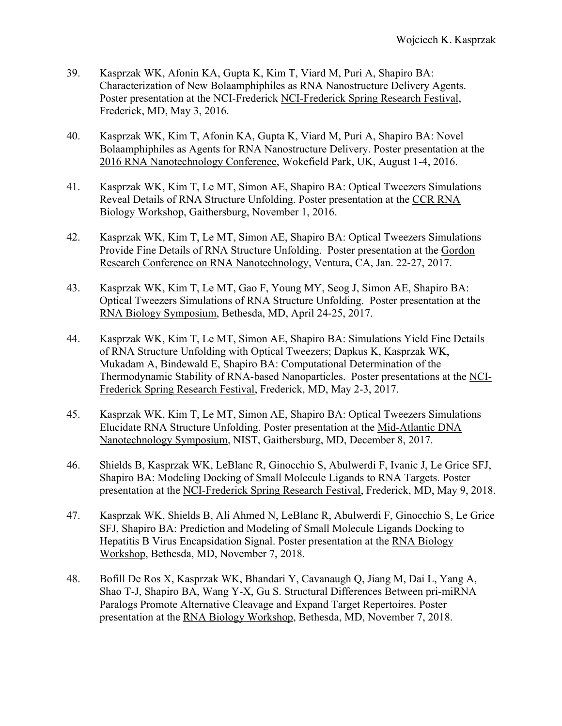- 39. Kasprzak WK, Afonin KA, Gupta K, Kim T, Viard M, Puri A, Shapiro BA: Characterization of New Bolaamphiphiles as RNA Nanostructure Delivery Agents. Poster presentation at the NCI-Frederick NCI-Frederick Spring Research Festival, Frederick, MD, May 3, 2016.
- 40. Kasprzak WK, Kim T, Afonin KA, Gupta K, Viard M, Puri A, Shapiro BA: Novel Bolaamphiphiles as Agents for RNA Nanostructure Delivery. Poster presentation at the 2016 RNA Nanotechnology Conference, Wokefield Park, UK, August 1-4, 2016.
- 41. Kasprzak WK, Kim T, Le MT, Simon AE, Shapiro BA: Optical Tweezers Simulations Reveal Details of RNA Structure Unfolding. Poster presentation at the CCR RNA Biology Workshop, Gaithersburg, November 1, 2016.
- 42. Kasprzak WK, Kim T, Le MT, Simon AE, Shapiro BA: Optical Tweezers Simulations Provide Fine Details of RNA Structure Unfolding. Poster presentation at the Gordon Research Conference on RNA Nanotechnology, Ventura, CA, Jan. 22-27, 2017.
- 43. Kasprzak WK, Kim T, Le MT, Gao F, Young MY, Seog J, Simon AE, Shapiro BA: Optical Tweezers Simulations of RNA Structure Unfolding. Poster presentation at the RNA Biology Symposium, Bethesda, MD, April 24-25, 2017.
- 44. Kasprzak WK, Kim T, Le MT, Simon AE, Shapiro BA: Simulations Yield Fine Details of RNA Structure Unfolding with Optical Tweezers; Dapkus K, Kasprzak WK, Mukadam A, Bindewald E, Shapiro BA: Computational Determination of the Thermodynamic Stability of RNA-based Nanoparticles. Poster presentations at the NCI-Frederick Spring Research Festival, Frederick, MD, May 2-3, 2017.
- 45. Kasprzak WK, Kim T, Le MT, Simon AE, Shapiro BA: Optical Tweezers Simulations Elucidate RNA Structure Unfolding. Poster presentation at the Mid-Atlantic DNA Nanotechnology Symposium, NIST, Gaithersburg, MD, December 8, 2017.
- 46. Shields B, Kasprzak WK, LeBlanc R, Ginocchio S, Abulwerdi F, Ivanic J, Le Grice SFJ, Shapiro BA: Modeling Docking of Small Molecule Ligands to RNA Targets. Poster presentation at the NCI-Frederick Spring Research Festival, Frederick, MD, May 9, 2018.
- 47. Kasprzak WK, Shields B, Ali Ahmed N, LeBlanc R, Abulwerdi F, Ginocchio S, Le Grice SFJ, Shapiro BA: Prediction and Modeling of Small Molecule Ligands Docking to Hepatitis B Virus Encapsidation Signal. Poster presentation at the RNA Biology Workshop, Bethesda, MD, November 7, 2018.
- 48. Bofill De Ros X, Kasprzak WK, Bhandari Y, Cavanaugh Q, Jiang M, Dai L, Yang A, Shao T-J, Shapiro BA, Wang Y-X, Gu S. Structural Differences Between pri-miRNA Paralogs Promote Alternative Cleavage and Expand Target Repertoires. Poster presentation at the RNA Biology Workshop, Bethesda, MD, November 7, 2018.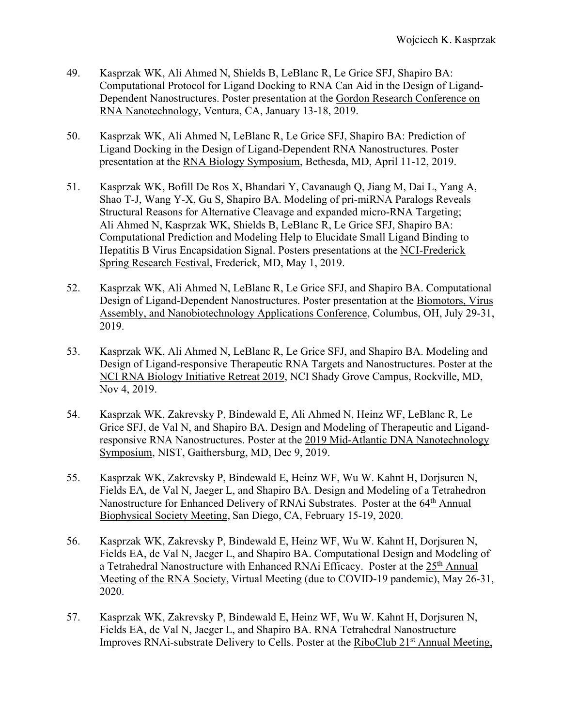- 49. Kasprzak WK, Ali Ahmed N, Shields B, LeBlanc R, Le Grice SFJ, Shapiro BA: Computational Protocol for Ligand Docking to RNA Can Aid in the Design of Ligand-Dependent Nanostructures. Poster presentation at the Gordon Research Conference on RNA Nanotechnology, Ventura, CA, January 13-18, 2019.
- 50. Kasprzak WK, Ali Ahmed N, LeBlanc R, Le Grice SFJ, Shapiro BA: Prediction of Ligand Docking in the Design of Ligand-Dependent RNA Nanostructures. Poster presentation at the RNA Biology Symposium, Bethesda, MD, April 11-12, 2019.
- 51. Kasprzak WK, Bofill De Ros X, Bhandari Y, Cavanaugh Q, Jiang M, Dai L, Yang A, Shao T-J, Wang Y-X, Gu S, Shapiro BA. Modeling of pri-miRNA Paralogs Reveals Structural Reasons for Alternative Cleavage and expanded micro-RNA Targeting; Ali Ahmed N, Kasprzak WK, Shields B, LeBlanc R, Le Grice SFJ, Shapiro BA: Computational Prediction and Modeling Help to Elucidate Small Ligand Binding to Hepatitis B Virus Encapsidation Signal. Posters presentations at the NCI-Frederick Spring Research Festival, Frederick, MD, May 1, 2019.
- 52. Kasprzak WK, Ali Ahmed N, LeBlanc R, Le Grice SFJ, and Shapiro BA. Computational Design of Ligand-Dependent Nanostructures. Poster presentation at the Biomotors, Virus Assembly, and Nanobiotechnology Applications Conference, Columbus, OH, July 29-31, 2019.
- 53. Kasprzak WK, Ali Ahmed N, LeBlanc R, Le Grice SFJ, and Shapiro BA. Modeling and Design of Ligand-responsive Therapeutic RNA Targets and Nanostructures. Poster at the NCI RNA Biology Initiative Retreat 2019, NCI Shady Grove Campus, Rockville, MD, Nov 4, 2019.
- 54. Kasprzak WK, Zakrevsky P, Bindewald E, Ali Ahmed N, Heinz WF, LeBlanc R, Le Grice SFJ, de Val N, and Shapiro BA. Design and Modeling of Therapeutic and Ligandresponsive RNA Nanostructures. Poster at the 2019 Mid-Atlantic DNA Nanotechnology Symposium, NIST, Gaithersburg, MD, Dec 9, 2019.
- 55. Kasprzak WK, Zakrevsky P, Bindewald E, Heinz WF, Wu W. Kahnt H, Dorjsuren N, Fields EA, de Val N, Jaeger L, and Shapiro BA. Design and Modeling of a Tetrahedron Nanostructure for Enhanced Delivery of RNAi Substrates. Poster at the 64<sup>th</sup> Annual Biophysical Society Meeting, San Diego, CA, February 15-19, 2020.
- 56. Kasprzak WK, Zakrevsky P, Bindewald E, Heinz WF, Wu W. Kahnt H, Dorjsuren N, Fields EA, de Val N, Jaeger L, and Shapiro BA. Computational Design and Modeling of a Tetrahedral Nanostructure with Enhanced RNAi Efficacy. Poster at the 25<sup>th</sup> Annual Meeting of the RNA Society, Virtual Meeting (due to COVID-19 pandemic), May 26-31, 2020.
- 57. Kasprzak WK, Zakrevsky P, Bindewald E, Heinz WF, Wu W. Kahnt H, Dorjsuren N, Fields EA, de Val N, Jaeger L, and Shapiro BA. RNA Tetrahedral Nanostructure Improves RNAi-substrate Delivery to Cells. Poster at the RiboClub 21<sup>st</sup> Annual Meeting,